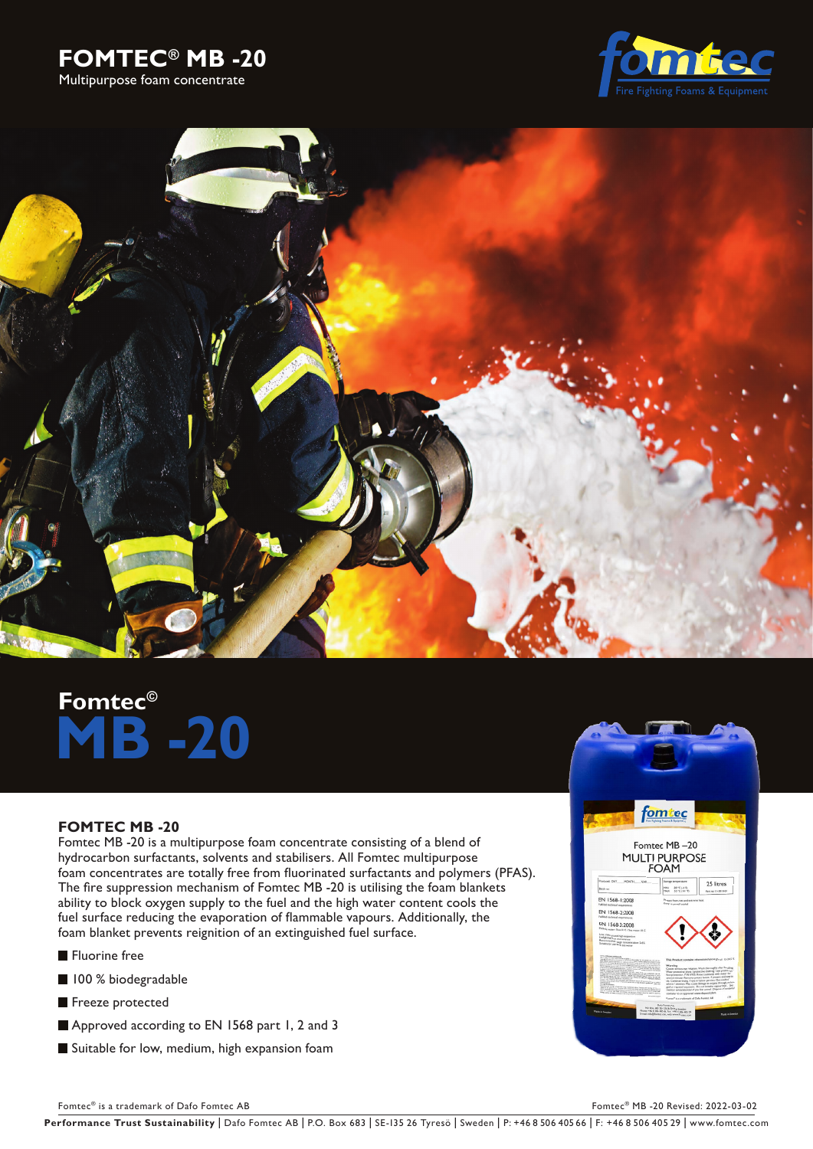





# **Fomtec© -20**

## **FOMTEC MB -20**

Fomtec MB -20 is a multipurpose foam concentrate consisting of a blend of hydrocarbon surfactants, solvents and stabilisers. All Fomtec multipurpose foam concentrates are totally free from fluorinated surfactants and polymers (PFAS). The fire suppression mechanism of Fomtec MB -20 is utilising the foam blankets ability to block oxygen supply to the fuel and the high water content cools the fuel surface reducing the evaporation of flammable vapours. Additionally, the foam blanket prevents reignition of an extinguished fuel surface.

**Fluorine** free

- 100 % biodegradable
- Freeze protected
- Approved according to EN 1568 part 1, 2 and 3
- Suitable for low, medium, high expansion foam



Fomtec® is a trademark of Dafo Fomtec AB Fomtec AB Fomtec® MB -20 Revised: 2022-03-02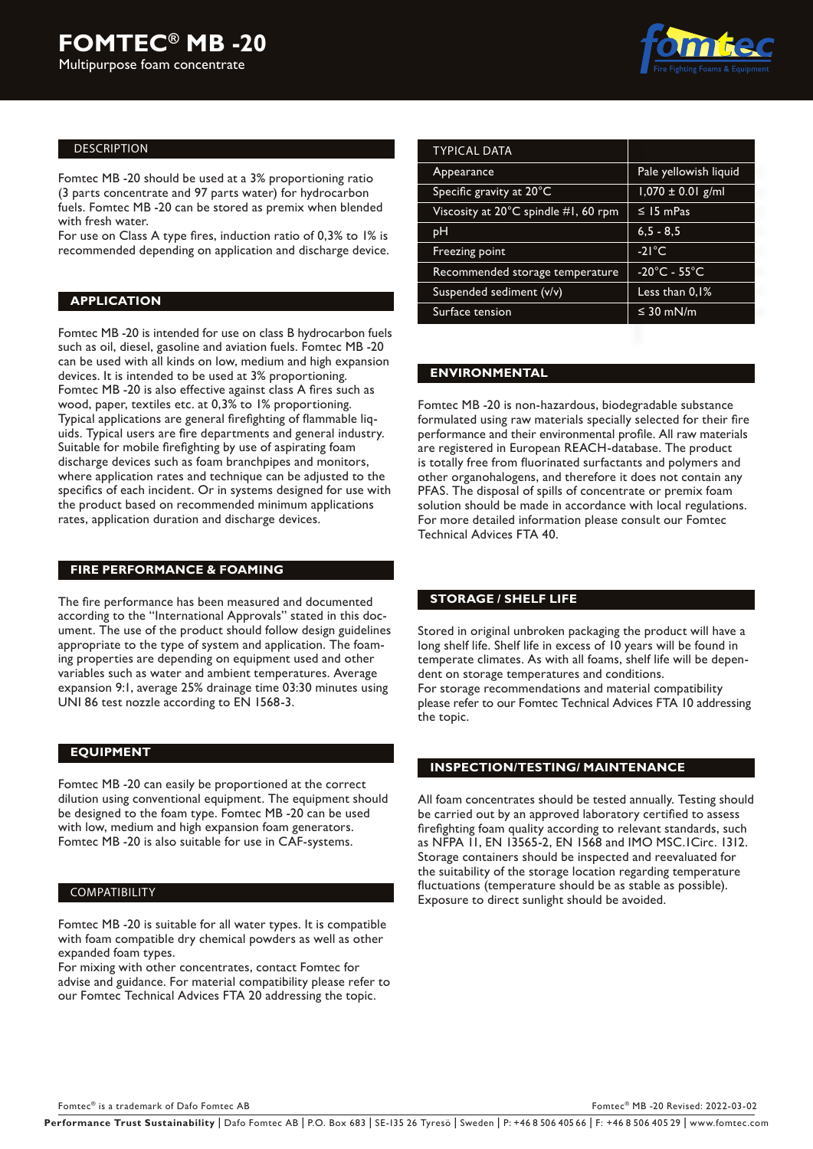

#### DESCRIPTION

Fomtec MB -20 should be used at a 3% proportioning ratio (3 parts concentrate and 97 parts water) for hydrocarbon fuels. Fomtec MB -20 can be stored as premix when blended with fresh water.

For use on Class A type fires, induction ratio of 0,3% to 1% is recommended depending on application and discharge device.

### **APPLICATION**

Fomtec MB -20 is intended for use on class B hydrocarbon fuels such as oil, diesel, gasoline and aviation fuels. Fomtec MB -20 can be used with all kinds on low, medium and high expansion devices. It is intended to be used at 3% proportioning. Fomtec MB -20 is also effective against class A fires such as wood, paper, textiles etc. at 0,3% to 1% proportioning. Typical applications are general firefighting of flammable liquids. Typical users are fire departments and general industry. Suitable for mobile firefighting by use of aspirating foam discharge devices such as foam branchpipes and monitors, where application rates and technique can be adjusted to the specifics of each incident. Or in systems designed for use with the product based on recommended minimum applications rates, application duration and discharge devices.

### **FIRE PERFORMANCE & FOAMING**

The fire performance has been measured and documented according to the "International Approvals" stated in this document. The use of the product should follow design guidelines appropriate to the type of system and application. The foaming properties are depending on equipment used and other variables such as water and ambient temperatures. Average expansion 9:1, average 25% drainage time 03:30 minutes using UNI 86 test nozzle according to EN 1568-3.

#### **EQUIPMENT**

Fomtec MB -20 can easily be proportioned at the correct dilution using conventional equipment. The equipment should be designed to the foam type. Fomtec MB -20 can be used with low, medium and high expansion foam generators. Fomtec MB -20 is also suitable for use in CAF-systems.

#### **COMPATIBILITY**

Fomtec MB -20 is suitable for all water types. It is compatible with foam compatible dry chemical powders as well as other expanded foam types.

For mixing with other concentrates, contact Fomtec for advise and guidance. For material compatibility please refer to our Fomtec Technical Advices FTA 20 addressing the topic.

| <b>TYPICAL DATA</b>                  |                                   |  |
|--------------------------------------|-----------------------------------|--|
| Appearance                           | Pale yellowish liquid             |  |
| Specific gravity at 20°C             | $1,070 \pm 0.01$ g/ml             |  |
| Viscosity at 20°C spindle #1, 60 rpm | $\leq$ 15 mPas                    |  |
| pН                                   | $6, 5 - 8, 5$                     |  |
| Freezing point                       | $-21^{\circ}$ C                   |  |
| Recommended storage temperature      | $-20^{\circ}$ C - 55 $^{\circ}$ C |  |
| Suspended sediment (v/v)             | Less than 0,1%                    |  |
| Surface tension                      | $\leq$ 30 mN/m                    |  |

#### **ENVIRONMENTAL**

Fomtec MB -20 is non-hazardous, biodegradable substance formulated using raw materials specially selected for their fire performance and their environmental profile. All raw materials are registered in European REACH-database. The product is totally free from fluorinated surfactants and polymers and other organohalogens, and therefore it does not contain any PFAS. The disposal of spills of concentrate or premix foam solution should be made in accordance with local regulations. For more detailed information please consult our Fomtec Technical Advices FTA 40.

#### **STORAGE / SHELF LIFE**

Stored in original unbroken packaging the product will have a long shelf life. Shelf life in excess of 10 years will be found in temperate climates. As with all foams, shelf life will be dependent on storage temperatures and conditions. For storage recommendations and material compatibility please refer to our Fomtec Technical Advices FTA 10 addressing the topic.

#### **INSPECTION/TESTING/ MAINTENANCE**

All foam concentrates should be tested annually. Testing should be carried out by an approved laboratory certified to assess firefighting foam quality according to relevant standards, such as NFPA 11, EN 13565-2, EN 1568 and IMO MSC.1Circ. 1312. Storage containers should be inspected and reevaluated for the suitability of the storage location regarding temperature fluctuations (temperature should be as stable as possible). Exposure to direct sunlight should be avoided.